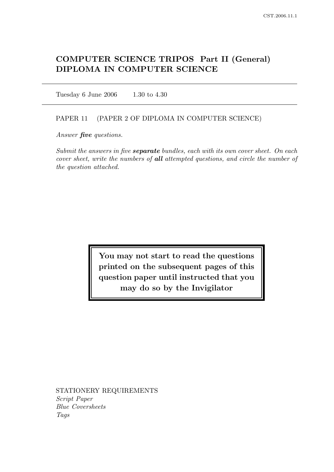# COMPUTER SCIENCE TRIPOS Part II (General) DIPLOMA IN COMPUTER SCIENCE

Tuesday 6 June 2006 1.30 to 4.30

#### PAPER 11 (PAPER 2 OF DIPLOMA IN COMPUTER SCIENCE)

Answer *five* questions.

Submit the answers in five **separate** bundles, each with its own cover sheet. On each cover sheet, write the numbers of all attempted questions, and circle the number of the question attached.

> You may not start to read the questions printed on the subsequent pages of this question paper until instructed that you may do so by the Invigilator

STATIONERY REQUIREMENTS Script Paper Blue Coversheets Tags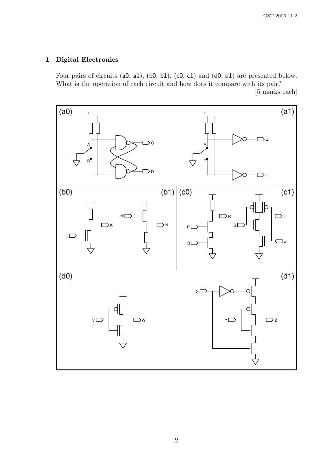## 1 Digital Electronics

Four pairs of circuits (a0, a1), (b0, b1), (c0, c1) and (d0, d1) are presented below. What is the operation of each circuit and how does it compare with its pair?

[5 marks each]

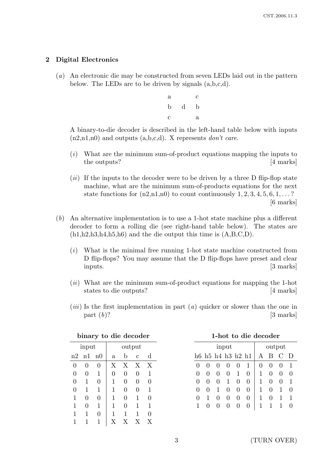## 2 Digital Electronics

- (a) An electronic die may be constructed from seven LEDs laid out in the pattern below. The LEDs are to be driven by signals (a,b,c,d).
	- a c b d b c a

A binary-to-die decoder is described in the left-hand table below with inputs  $(n2,n1,n0)$  and outputs  $(a,b,c,d)$ . X represents *don't care*.

- (i) What are the minimum sum-of-product equations mapping the inputs to the outputs? [4 marks]
- $(ii)$  If the inputs to the decoder were to be driven by a three D flip-flop state machine, what are the minimum sum-of-products equations for the next state functions for  $(n2,n1,n0)$  to count continuously  $1, 2, 3, 4, 5, 6, 1, \ldots$ ? [6 marks]
- (b) An alternative implementation is to use a 1-hot state machine plus a different decoder to form a rolling die (see right-hand table below). The states are  $(h1,h2,h3,h4,h5,h6)$  and the die output this time is  $(A,B,C,D)$ .
	- $(i)$  What is the minimal free running 1-hot state machine constructed from D flip-flops? You may assume that the D flip-flops have preset and clear inputs. [3 marks]
	- (ii) What are the minimum sum-of-product equations for mapping the 1-hot states to die outputs? [4 marks]
	- $(iii)$  Is the first implementation in part  $(a)$  quicker or slower than the one in part  $(b)$ ? [3 marks]

| $_{\rm \nu nna}$<br>UV<br>uiv<br>uccouci |                |             |              |            |                |              |  |
|------------------------------------------|----------------|-------------|--------------|------------|----------------|--------------|--|
| input                                    |                |             |              |            | output         |              |  |
| n2                                       | n1             | n0          | $\mathbf{a}$ | b          | $\overline{c}$ | d            |  |
| 0                                        | $\overline{0}$ | 0           | $\rm X$      | X          | X              | X            |  |
| 0                                        | 0              | $\mathbf 1$ | 0            | 0          | 0              | $\mathbf{1}$ |  |
| $\overline{0}$                           | 1              | 0           | 1            | 0          | $\overline{0}$ | 0            |  |
| 0                                        | 1              | $\mathbf 1$ | 1            | 0          | 0              | 1            |  |
| 1                                        | 0              | 0           | 1            | 0          | 1              | 0            |  |
| 1                                        | 0              | $\mathbf 1$ | 1            | 0          | 1              | 1            |  |
| 1                                        | 1              | 0           | 1            | 1          | 1              | 0            |  |
|                                          |                | 1           |              | $_{\rm X}$ | X              | X            |  |

|  |  |  | binary to die decoder |
|--|--|--|-----------------------|
|--|--|--|-----------------------|

|  |  | 1-hot to die decoder |
|--|--|----------------------|
|--|--|----------------------|

| input             |   |                   |              |                  | output       |          |   |          |   |
|-------------------|---|-------------------|--------------|------------------|--------------|----------|---|----------|---|
|                   |   | h6 h5 h4 h3 h2 h1 |              |                  |              |          | В | $\Gamma$ | D |
| $\mathbf{\Omega}$ |   | $\mathbf{0}$      |              | $\left( \right)$ | 1            | $\theta$ |   | $\theta$ |   |
| $\mathbf{0}$      |   | $\left( \right)$  | 0            | 1                | 0            |          |   | 0        |   |
| $\mathbf{0}$      | 0 | $\mathbf{0}$      | 1            | 0                | $\mathbf{0}$ |          | 0 | 0        |   |
| $\mathbf{\Omega}$ | 0 |                   | $\mathbf{0}$ | $\mathbf{0}$     | $\mathbf{0}$ |          | 0 | 1        |   |
| $\mathbf{0}$      | 1 | $\mathbf{0}$      | $\theta$     | 0                | 0            | 1        | 0 | 1        |   |
|                   |   |                   |              |                  |              |          |   |          |   |
|                   |   |                   |              |                  |              |          |   |          |   |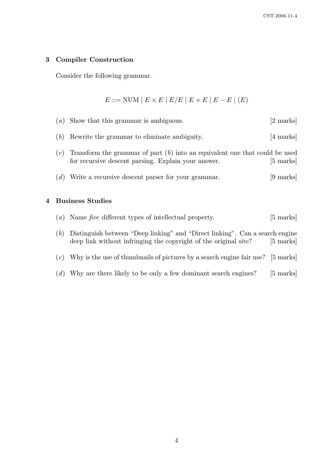#### 3 Compiler Construction

Consider the following grammar.

 $E ::= \text{NUM} | E \times E | E/E | E + E | E - E | (E)$ 

(a) Show that this grammar is ambiguous. [2 marks] (b) Rewrite the grammar to eliminate ambiguity. [4 marks]  $(c)$  Transform the grammar of part  $(b)$  into an equivalent one that could be used for recursive descent parsing. Explain your answer. [5 marks] (d) Write a recursive descent parser for your grammar. [9 marks] 4 Business Studies

|     | $(a)$ Name five different types of intellectual property.                                                                                        | $[5 \text{ marks}]$ |
|-----|--------------------------------------------------------------------------------------------------------------------------------------------------|---------------------|
| (b) | Distinguish between "Deep linking" and "Direct linking". Can a search engine<br>deep link without infringing the copyright of the original site? | $[5 \text{ marks}]$ |
| (c) | Why is the use of thumbnails of pictures by a search engine fair use? [5 marks]                                                                  |                     |

(d) Why are there likely to be only a few dominant search engines? [5 marks]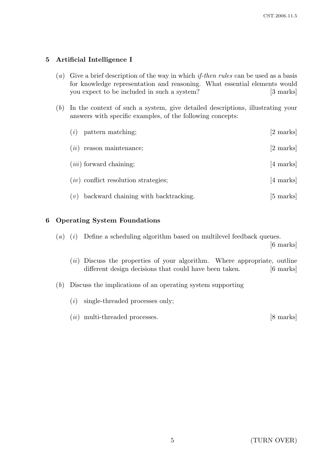## 5 Artificial Intelligence I

- (a) Give a brief description of the way in which *if-then rules* can be used as a basis for knowledge representation and reasoning. What essential elements would you expect to be included in such a system? [3 marks]
- (b) In the context of such a system, give detailed descriptions, illustrating your answers with specific examples, of the following concepts:

| (i)  | pattern matching;                      | [2 marks]           |
|------|----------------------------------------|---------------------|
| (ii) | reason maintenance;                    | [2 marks]           |
|      | $(iii)$ forward chaining;              | [4 marks]           |
|      | $(iv)$ conflict resolution strategies; | $[4 \text{ marks}]$ |
| (v)  | backward chaining with backtracking.   | $[5 \text{ marks}]$ |

## 6 Operating System Foundations

(a) (i) Define a scheduling algorithm based on multilevel feedback queues.

[6 marks]

- $(ii)$  Discuss the properties of your algorithm. Where appropriate, outline different design decisions that could have been taken. [6 marks]
- (b) Discuss the implications of an operating system supporting
	- (i) single-threaded processes only;
	- (*ii*) multi-threaded processes. [8 marks]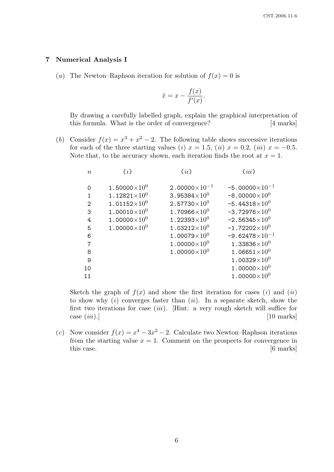#### 7 Numerical Analysis I

(a) The Newton–Raphson iteration for solution of  $f(x) = 0$  is

$$
\tilde{x} = x - \frac{f(x)}{f'(x)}.
$$

By drawing a carefully labelled graph, explain the graphical interpretation of this formula. What is the order of convergence? [4 marks]

(b) Consider  $f(x) = x^3 + x^2 - 2$ . The following table shows successive iterations for each of the three starting values (i)  $x = 1.5$ , (ii)  $x = 0.2$ , (iii)  $x = -0.5$ . Note that, to the accuracy shown, each iteration finds the root at  $x = 1$ .

| $\boldsymbol{n}$ | (i)                    | (ii)                             | (iii)                   |
|------------------|------------------------|----------------------------------|-------------------------|
| $\Omega$         | 1.50000 $\times10^{0}$ | $2.00000\times10^{-1}$           | $-5.00000\times10^{-1}$ |
| 1                | $1.12821\times10^{0}$  | 3.95384 $\times10^{0}$           | $-8.00000\times10^{0}$  |
| 2                | $1.01152\times10^{0}$  | $2.57730\times10^{0}$            | $-5.44318\times10^{0}$  |
| 3                | $1.00010\times10^{0}$  | 1.70966 $\times 10^{0}$          | $-3.72976\times10^{0}$  |
| 4                | 1.00000 $\times10^{0}$ | 1.22393 $\times$ 10 <sup>0</sup> | $-2.56345\times10^{0}$  |
| 5                | $1.00000\times10^{0}$  | $1.03212\times10^{0}$            | $-1.72202\times10^{0}$  |
| 6                |                        | $1.00079\times10^{0}$            | $-9.62478\times10^{-1}$ |
| 7                |                        | 1.00000 $\times10^{0}$           | $1.33836\times10^{0}$   |
| 8                |                        | $1.00000\times10^{0}$            | $1.06651{\times}10^{0}$ |
| 9                |                        |                                  | $1.00329\times10^{0}$   |
| 10               |                        |                                  | 1.00000 $\times10^{0}$  |
| 11               |                        |                                  | $1.00000\times10^{0}$   |
|                  |                        |                                  |                         |

Sketch the graph of  $f(x)$  and show the first iteration for cases (i) and (ii) to show why  $(i)$  converges faster than  $(ii)$ . In a separate sketch, show the first two iterations for case  $(iii)$ . [Hint: a very rough sketch will suffice for  $\cos(\,iii).]$  [10 marks]

(c) Now consider  $f(x) = x^4 - 3x^2 - 2$ . Calculate two Newton–Raphson iterations from the starting value  $x = 1$ . Comment on the prospects for convergence in this case. [6 marks]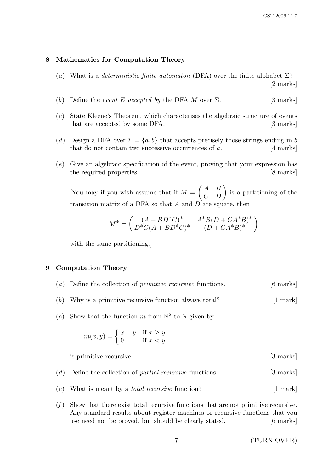#### 8 Mathematics for Computation Theory

- (a) What is a *deterministic finite automaton* (DFA) over the finite alphabet  $\Sigma$ ? [2 marks]
- (b) Define the event E accepted by the DFA M over  $\Sigma$ . [3 marks]
- (c) State Kleene's Theorem, which characterises the algebraic structure of events that are accepted by some DFA. [3 marks]
- (d) Design a DFA over  $\Sigma = \{a, b\}$  that accepts precisely those strings ending in b that do not contain two successive occurrences of  $a$ . [4 marks]
- (e) Give an algebraic specification of the event, proving that your expression has the required properties. [8 marks]

[You may if you wish assume that if  $M =$  $\begin{pmatrix} A & B \\ C & D \end{pmatrix}$  is a partitioning of the transition matrix of a DFA so that  $A$  and  $D$  are square, then

$$
M^* = \begin{pmatrix} (A + BD^*C)^* & A^*B(D + CA^*B)^* \\ D^*C(A + BD^*C)^* & (D + CA^*B)^* \end{pmatrix}
$$

with the same partitioning.

## 9 Computation Theory

- (a) Define the collection of primitive recursive functions. [6 marks]
- (b) Why is a primitive recursive function always total?  $[1 \text{ mark}]$
- (c) Show that the function m from  $\mathbb{N}^2$  to  $\mathbb N$  given by

$$
m(x,y) = \begin{cases} x - y & \text{if } x \ge y \\ 0 & \text{if } x < y \end{cases}
$$

is primitive recursive. [3 marks]

- (d) Define the collection of *partial recursive* functions. [3 marks]
- $(e)$  What is meant by a *total recursive* function? [1 mark]
- $(f)$  Show that there exist total recursive functions that are not primitive recursive. Any standard results about register machines or recursive functions that you use need not be proved, but should be clearly stated. [6 marks]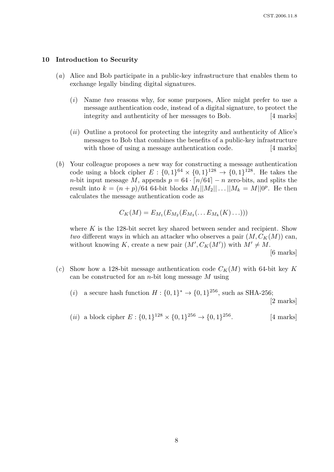#### 10 Introduction to Security

- (a) Alice and Bob participate in a public-key infrastructure that enables them to exchange legally binding digital signatures.
	- (i) Name two reasons why, for some purposes, Alice might prefer to use a message authentication code, instead of a digital signature, to protect the integrity and authenticity of her messages to Bob. [4 marks]
	- (ii) Outline a protocol for protecting the integrity and authenticity of Alice's messages to Bob that combines the benefits of a public-key infrastructure with those of using a message authentication code. [4 marks]
- (b) Your colleague proposes a new way for constructing a message authentication code using a block cipher  $E: \{0,1\}^{64} \times \{0,1\}^{128} \to \{0,1\}^{128}$ . He takes the *n*-bit input message M, appends  $p = 64 \cdot \lceil n/64 \rceil - n$  zero-bits, and splits the result into  $k = (n+p)/64$  64-bit blocks  $M_1||M_2||...||M_k = M||0^p$ . He then calculates the message authentication code as

$$
C_K(M) = E_{M_1}(E_{M_2}(E_{M_3}(\ldots E_{M_k}(K)\ldots)))
$$

where  $K$  is the 128-bit secret key shared between sender and recipient. Show two different ways in which an attacker who observes a pair  $(M, C_K(M))$  can, without knowing K, create a new pair  $(M', C_K(M'))$  with  $M' \neq M$ .

[6 marks]

- (c) Show how a 128-bit message authentication code  $C_K(M)$  with 64-bit key K can be constructed for an  $n$ -bit long message  $M$  using
	- (*i*) a secure hash function  $H: \{0,1\}^* \to \{0,1\}^{256}$ , such as SHA-256; [2 marks]
	- (*ii*) a block cipher  $E: \{0,1\}^{128} \times \{0,1\}^{256} \rightarrow \{0,1\}$ [4 marks]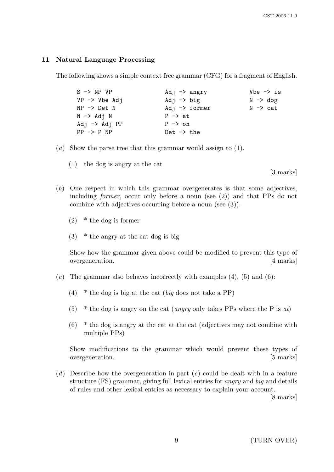#### 11 Natural Language Processing

The following shows a simple context free grammar (CFG) for a fragment of English.

| $S \rightarrow NP VP$    | Adj $\rightarrow$ angry  | $Vbe \rightarrow is$ |
|--------------------------|--------------------------|----------------------|
| $VP \rightarrow Vbe Adj$ | Adj $\rightarrow$ big    | $N \rightarrow dog$  |
| $NP \rightarrow Det N$   | Adj $\rightarrow$ former | $N \rightarrow$ cat  |
| $N \rightarrow Adj N$    | $P \rightarrow at$       |                      |
| Adj $\rightarrow$ Adj PP | $P \rightarrow on$       |                      |
| $PP \rightarrow P NP$    | $Det \rightarrow the$    |                      |

- (a) Show the parse tree that this grammar would assign to (1).
	- (1) the dog is angry at the cat

[3 marks]

- (b) One respect in which this grammar overgenerates is that some adjectives, including former, occur only before a noun (see (2)) and that PPs do not combine with adjectives occurring before a noun (see (3)).
	- (2) \* the dog is former
	- $(3)$  \* the angry at the cat dog is big

Show how the grammar given above could be modified to prevent this type of overgeneration. [4 marks]

- $(c)$  The grammar also behaves incorrectly with examples  $(4)$ ,  $(5)$  and  $(6)$ :
	- (4)  $*$  the dog is big at the cat (big does not take a PP)
	- (5) \* the dog is angry on the cat *(angry only takes PPs where the P is at)*
	- $(6)$  \* the dog is angry at the cat at the cat (adjectives may not combine with multiple PPs)

Show modifications to the grammar which would prevent these types of overgeneration. [5 marks]

(d) Describe how the overgeneration in part  $(c)$  could be dealt with in a feature structure (FS) grammar, giving full lexical entries for angry and big and details of rules and other lexical entries as necessary to explain your account.

[8 marks]